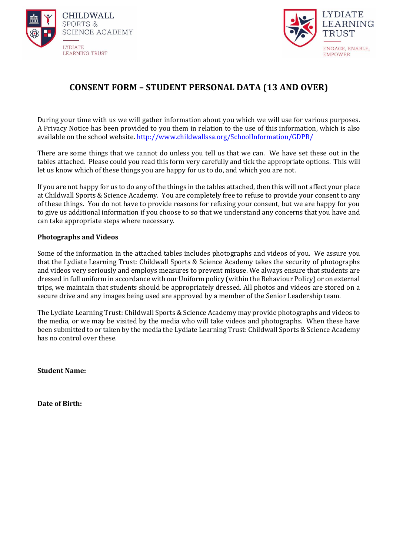



## **CONSENT FORM – STUDENT PERSONAL DATA (13 AND OVER)**

During your time with us we will gather information about you which we will use for various purposes. A Privacy Notice has been provided to you them in relation to the use of this information, which is also available on the school website. <http://www.childwallssa.org/SchoolInformation/GDPR/>

There are some things that we cannot do unless you tell us that we can. We have set these out in the tables attached. Please could you read this form very carefully and tick the appropriate options. This will let us know which of these things you are happy for us to do, and which you are not.

If you are not happy for us to do any of the things in the tables attached, then this will not affect your place at Childwall Sports & Science Academy. You are completely free to refuse to provide your consent to any of these things. You do not have to provide reasons for refusing your consent, but we are happy for you to give us additional information if you choose to so that we understand any concerns that you have and can take appropriate steps where necessary.

#### **Photographs and Videos**

Some of the information in the attached tables includes photographs and videos of you. We assure you that the Lydiate Learning Trust: Childwall Sports & Science Academy takes the security of photographs and videos very seriously and employs measures to prevent misuse. We always ensure that students are dressed in full uniform in accordance with our Uniform policy (within the Behaviour Policy) or on external trips, we maintain that students should be appropriately dressed. All photos and videos are stored on a secure drive and any images being used are approved by a member of the Senior Leadership team.

The Lydiate Learning Trust: Childwall Sports & Science Academy may provide photographs and videos to the media, or we may be visited by the media who will take videos and photographs. When these have been submitted to or taken by the media the Lydiate Learning Trust: Childwall Sports & Science Academy has no control over these.

**Student Name:**

**Date of Birth:**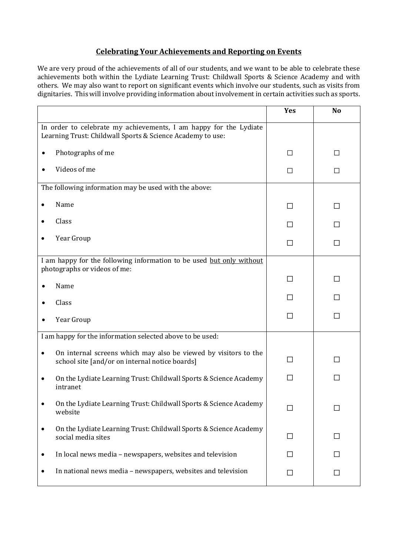### **Celebrating Your Achievements and Reporting on Events**

We are very proud of the achievements of all of our students, and we want to be able to celebrate these achievements both within the Lydiate Learning Trust: Childwall Sports & Science Academy and with others. We may also want to report on significant events which involve our students, such as visits from dignitaries. This will involve providing information about involvement in certain activities such as sports.

|                                                                                                                                 | Yes          | N <sub>o</sub> |
|---------------------------------------------------------------------------------------------------------------------------------|--------------|----------------|
| In order to celebrate my achievements, I am happy for the Lydiate<br>Learning Trust: Childwall Sports & Science Academy to use: |              |                |
| Photographs of me                                                                                                               | □            | П              |
| Videos of me                                                                                                                    | П            | П              |
| The following information may be used with the above:                                                                           |              |                |
| Name                                                                                                                            | ΙI           | $\mathsf{L}$   |
| Class                                                                                                                           | $\mathsf{L}$ | П              |
| Year Group                                                                                                                      | П            | П              |
| I am happy for the following information to be used but only without<br>photographs or videos of me:                            |              |                |
| Name                                                                                                                            | П            | ΙI             |
| Class                                                                                                                           | ΙI           | П              |
| Year Group                                                                                                                      | $\Box$       | $\mathsf{L}$   |
| I am happy for the information selected above to be used:                                                                       |              |                |
| On internal screens which may also be viewed by visitors to the<br>school site [and/or on internal notice boards]               | П            | П              |
| On the Lydiate Learning Trust: Childwall Sports & Science Academy<br>intranet                                                   | П            | ΙI             |
| On the Lydiate Learning Trust: Childwall Sports & Science Academy<br>website                                                    | ΙI           | ΙI             |
| On the Lydiate Learning Trust: Childwall Sports & Science Academy<br>social media sites                                         | $\mathsf{L}$ | П              |
| In local news media - newspapers, websites and television                                                                       | $\mathsf{L}$ |                |
| In national news media - newspapers, websites and television                                                                    | П            | $\perp$        |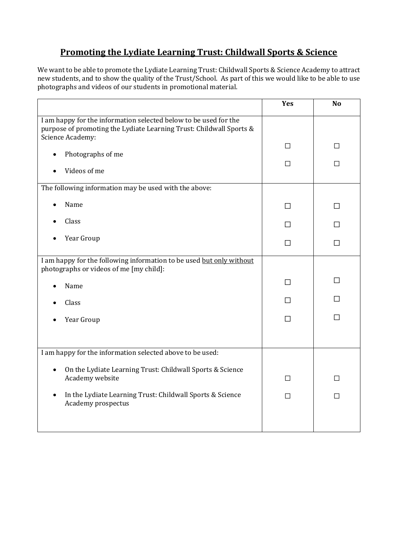# **Promoting the Lydiate Learning Trust: Childwall Sports & Science**

We want to be able to promote the Lydiate Learning Trust: Childwall Sports & Science Academy to attract new students, and to show the quality of the Trust/School. As part of this we would like to be able to use photographs and videos of our students in promotional material.

|                                                                                                                                                             | Yes    | <b>No</b> |
|-------------------------------------------------------------------------------------------------------------------------------------------------------------|--------|-----------|
| I am happy for the information selected below to be used for the<br>purpose of promoting the Lydiate Learning Trust: Childwall Sports &<br>Science Academy: |        |           |
| Photographs of me                                                                                                                                           | $\Box$ | П         |
| Videos of me                                                                                                                                                | $\Box$ | П         |
| The following information may be used with the above:                                                                                                       |        |           |
| Name                                                                                                                                                        | П      | П         |
| Class                                                                                                                                                       | H      | П         |
| Year Group                                                                                                                                                  | П      | $\Box$    |
| I am happy for the following information to be used but only without<br>photographs or videos of me [my child]:                                             |        |           |
| Name                                                                                                                                                        | П      | $\Box$    |
| Class                                                                                                                                                       | П      | П         |
| Year Group                                                                                                                                                  | П      | П         |
|                                                                                                                                                             |        |           |
| I am happy for the information selected above to be used:                                                                                                   |        |           |
| On the Lydiate Learning Trust: Childwall Sports & Science<br>$\bullet$<br>Academy website                                                                   | □      | $\Box$    |
| In the Lydiate Learning Trust: Childwall Sports & Science<br>Academy prospectus                                                                             | □      | П         |
|                                                                                                                                                             |        |           |